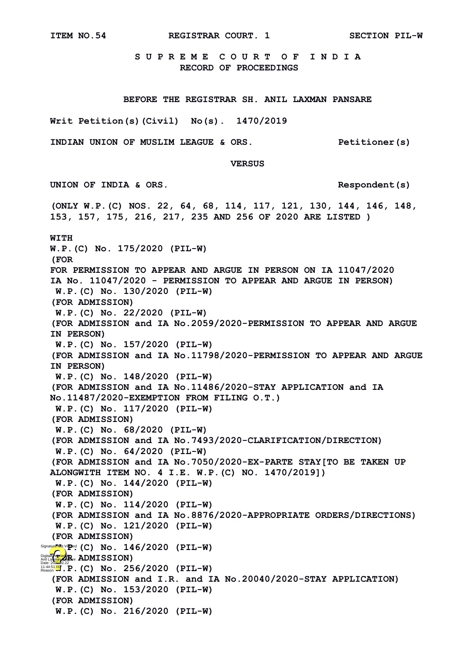**S U P R E M E C O U R T O F I N D I A RECORD OF PROCEEDINGS**

 **BEFORE THE REGISTRAR SH. ANIL LAXMAN PANSARE**

**Writ Petition(s)(Civil) No(s). 1470/2019**

**INDIAN UNION OF MUSLIM LEAGUE & ORS. Petitioner(s)**

**(ONLY W.P.(C) NOS. 22, 64, 68, 114, 117, 121, 130, 144, 146, 148,** 

**153, 157, 175, 216, 217, 235 AND 256 OF 2020 ARE LISTED )**

 **VERSUS**

**UNION OF INDIA & ORS. Respondent(s)**

**WITH W.P.(C) No. 175/2020 (PIL-W) (FOR FOR PERMISSION TO APPEAR AND ARGUE IN PERSON ON IA 11047/2020 IA No. 11047/2020 - PERMISSION TO APPEAR AND ARGUE IN PERSON) W.P.(C) No. 130/2020 (PIL-W) (FOR ADMISSION) W.P.(C) No. 22/2020 (PIL-W) (FOR ADMISSION and IA No.2059/2020-PERMISSION TO APPEAR AND ARGUE IN PERSON) W.P.(C) No. 157/2020 (PIL-W) (FOR ADMISSION and IA No.11798/2020-PERMISSION TO APPEAR AND ARGUE IN PERSON) W.P.(C) No. 148/2020 (PIL-W) (FOR ADMISSION and IA No.11486/2020-STAY APPLICATION and IA No.11487/2020-EXEMPTION FROM FILING O.T.) W.P.(C) No. 117/2020 (PIL-W) (FOR ADMISSION) W.P.(C) No. 68/2020 (PIL-W) (FOR ADMISSION and IA No.7493/2020-CLARIFICATION/DIRECTION) W.P.(C) No. 64/2020 (PIL-W) (FOR ADMISSION and IA No.7050/2020-EX-PARTE STAY[TO BE TAKEN UP ALONGWITH ITEM NO. 4 I.E. W.P.(C) NO. 1470/2019]) W.P.(C) No. 144/2020 (PIL-W) (FOR ADMISSION) W.P.(C) No. 114/2020 (PIL-W) (FOR ADMISSION and IA No.8876/2020-APPROPRIATE ORDERS/DIRECTIONS) W.P.(C) No. 121/2020 (PIL-W) (FOR ADMISSION)** Signature Not V**P**<sup>ed</sup>: (C) No. 146/2020 (PIL-W) Digitally signed **R<sub>ice</sub> ADMISSION)**<br>Anil Laxman *Pansare*<br>Date: 202<del>0.</del>02.22 **W.A.4.51<mark>99</mark>.P. (C) No. 256/2020 (PIL-W) (FOR ADMISSION and I.R. and IA No.20040/2020-STAY APPLICATION) W.P.(C) No. 153/2020 (PIL-W) (FOR ADMISSION)**

**W.P.(C) No. 216/2020 (PIL-W)**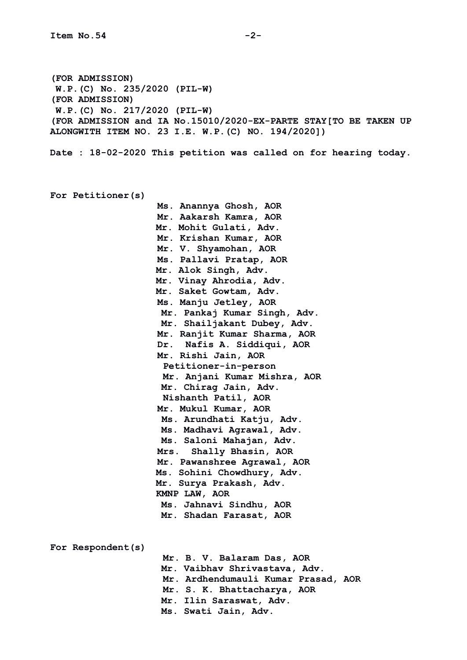**(FOR ADMISSION) W.P.(C) No. 235/2020 (PIL-W) (FOR ADMISSION) W.P.(C) No. 217/2020 (PIL-W) (FOR ADMISSION and IA No.15010/2020-EX-PARTE STAY[TO BE TAKEN UP ALONGWITH ITEM NO. 23 I.E. W.P.(C) NO. 194/2020])**

**Date : 18-02-2020 This petition was called on for hearing today.**

**For Petitioner(s)**

 **Ms. Anannya Ghosh, AOR Mr. Aakarsh Kamra, AOR Mr. Mohit Gulati, Adv. Mr. Krishan Kumar, AOR Mr. V. Shyamohan, AOR Ms. Pallavi Pratap, AOR Mr. Alok Singh, Adv. Mr. Vinay Ahrodia, Adv. Mr. Saket Gowtam, Adv. Ms. Manju Jetley, AOR Mr. Pankaj Kumar Singh, Adv. Mr. Shailjakant Dubey, Adv. Mr. Ranjit Kumar Sharma, AOR Dr. Nafis A. Siddiqui, AOR Mr. Rishi Jain, AOR Petitioner-in-person Mr. Anjani Kumar Mishra, AOR Mr. Chirag Jain, Adv. Nishanth Patil, AOR Mr. Mukul Kumar, AOR Ms. Arundhati Katju, Adv. Ms. Madhavi Agrawal, Adv. Ms. Saloni Mahajan, Adv. Mrs. Shally Bhasin, AOR Mr. Pawanshree Agrawal, AOR Ms. Sohini Chowdhury, Adv. Mr. Surya Prakash, Adv. KMNP LAW, AOR Ms. Jahnavi Sindhu, AOR Mr. Shadan Farasat, AOR** 

**For Respondent(s) Mr. B. V. Balaram Das, AOR Mr. Vaibhav Shrivastava, Adv. Mr. Ardhendumauli Kumar Prasad, AOR Mr. S. K. Bhattacharya, AOR Mr. Ilin Saraswat, Adv. Ms. Swati Jain, Adv.**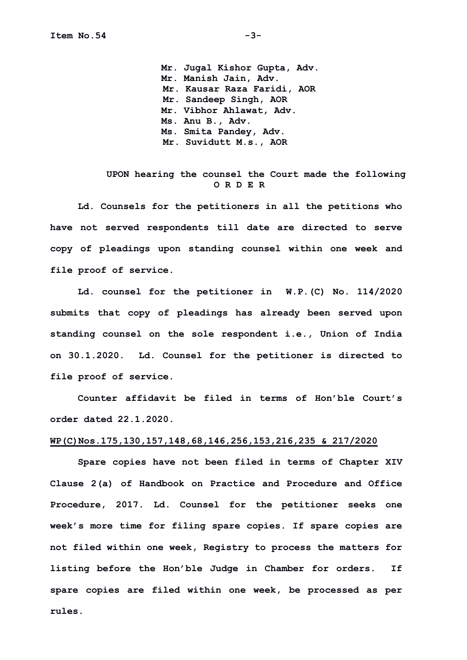**Mr. Jugal Kishor Gupta, Adv. Mr. Manish Jain, Adv. Mr. Kausar Raza Faridi, AOR Mr. Sandeep Singh, AOR Mr. Vibhor Ahlawat, Adv. Ms. Anu B., Adv. Ms. Smita Pandey, Adv. Mr. Suvidutt M.s., AOR**

## **UPON hearing the counsel the Court made the following O R D E R**

**Ld. Counsels for the petitioners in all the petitions who have not served respondents till date are directed to serve copy of pleadings upon standing counsel within one week and file proof of service.**

**Ld. counsel for the petitioner in W.P.(C) No. 114/2020 submits that copy of pleadings has already been served upon standing counsel on the sole respondent i.e., Union of India on 30.1.2020. Ld. Counsel for the petitioner is directed to file proof of service.**

**Counter affidavit be filed in terms of Hon'ble Court's order dated 22.1.2020.**

## **WP(C)Nos.175,130,157,148,68,146,256,153,216,235 & 217/2020**

**Spare copies have not been filed in terms of Chapter XIV Clause 2(a) of Handbook on Practice and Procedure and Office Procedure, 2017. Ld. Counsel for the petitioner seeks one week's more time for filing spare copies. If spare copies are not filed within one week, Registry to process the matters for listing before the Hon'ble Judge in Chamber for orders. If spare copies are filed within one week, be processed as per rules.**